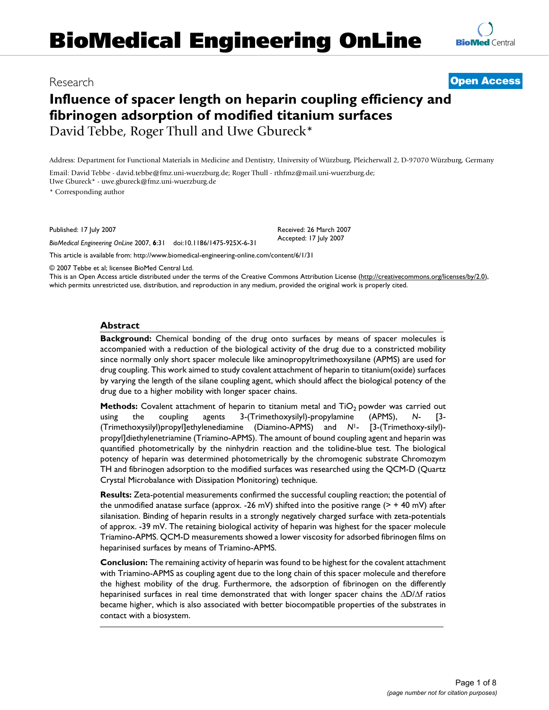# Research **[Open Access](http://www.biomedcentral.com/info/about/charter/)**

# **Influence of spacer length on heparin coupling efficiency and fibrinogen adsorption of modified titanium surfaces** David Tebbe, Roger Thull and Uwe Gbureck\*

Email: David Tebbe - david.tebbe@fmz.uni-wuerzburg.de; Roger Thull - rthfmz@mail.uni-wuerzburg.de; Uwe Gbureck\* - uwe.gbureck@fmz.uni-wuerzburg.de

\* Corresponding author

Published: 17 July 2007

*BioMedical Engineering OnLine* 2007, **6**:31 doi:10.1186/1475-925X-6-31

[This article is available from: http://www.biomedical-engineering-online.com/content/6/1/31](http://www.biomedical-engineering-online.com/content/6/1/31)

© 2007 Tebbe et al; licensee BioMed Central Ltd.

This is an Open Access article distributed under the terms of the Creative Commons Attribution License [\(http://creativecommons.org/licenses/by/2.0\)](http://creativecommons.org/licenses/by/2.0), which permits unrestricted use, distribution, and reproduction in any medium, provided the original work is properly cited.

# **Abstract**

**Background:** Chemical bonding of the drug onto surfaces by means of spacer molecules is accompanied with a reduction of the biological activity of the drug due to a constricted mobility since normally only short spacer molecule like aminopropyltrimethoxysilane (APMS) are used for drug coupling. This work aimed to study covalent attachment of heparin to titanium(oxide) surfaces by varying the length of the silane coupling agent, which should affect the biological potency of the drug due to a higher mobility with longer spacer chains.

**Methods:** Covalent attachment of heparin to titanium metal and TiO<sub>2</sub> powder was carried out using the coupling agents 3-(Trimethoxysilyl)-propylamine (APMS), *N*- [3- (Trimethoxysilyl)propyl]ethylenediamine (Diamino-APMS) and *N*1- [3-(Trimethoxy-silyl) propyl]diethylenetriamine (Triamino-APMS). The amount of bound coupling agent and heparin was quantified photometrically by the ninhydrin reaction and the tolidine-blue test. The biological potency of heparin was determined photometrically by the chromogenic substrate Chromozym TH and fibrinogen adsorption to the modified surfaces was researched using the QCM-D (Quartz Crystal Microbalance with Dissipation Monitoring) technique.

**Results:** Zeta-potential measurements confirmed the successful coupling reaction; the potential of the unmodified anatase surface (approx. -26 mV) shifted into the positive range ( $>$  + 40 mV) after silanisation. Binding of heparin results in a strongly negatively charged surface with zeta-potentials of approx. -39 mV. The retaining biological activity of heparin was highest for the spacer molecule Triamino-APMS. QCM-D measurements showed a lower viscosity for adsorbed fibrinogen films on heparinised surfaces by means of Triamino-APMS.

**Conclusion:** The remaining activity of heparin was found to be highest for the covalent attachment with Triamino-APMS as coupling agent due to the long chain of this spacer molecule and therefore the highest mobility of the drug. Furthermore, the adsorption of fibrinogen on the differently heparinised surfaces in real time demonstrated that with longer spacer chains the ∆D/∆f ratios became higher, which is also associated with better biocompatible properties of the substrates in contact with a biosystem.



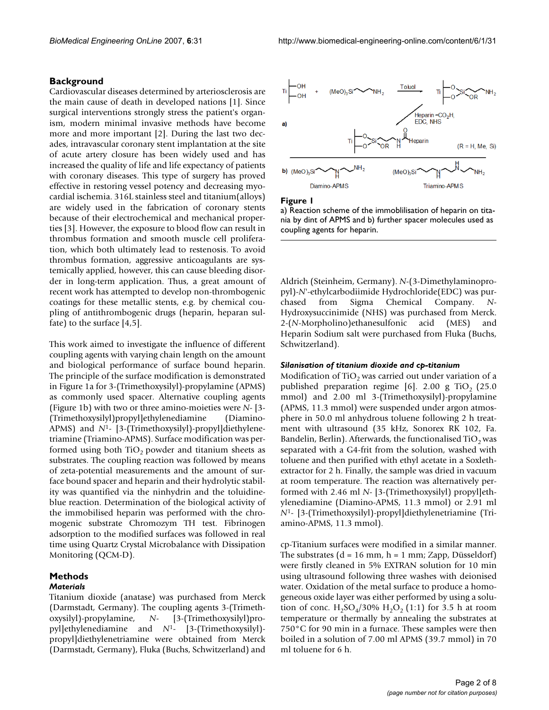# **Background**

Cardiovascular diseases determined by arteriosclerosis are the main cause of death in developed nations [1]. Since surgical interventions strongly stress the patient's organism, modern minimal invasive methods have become more and more important [2]. During the last two decades, intravascular coronary stent implantation at the site of acute artery closure has been widely used and has increased the quality of life and life expectancy of patients with coronary diseases. This type of surgery has proved effective in restoring vessel potency and decreasing myocardial ischemia. 316L stainless steel and titanium(alloys) are widely used in the fabrication of coronary stents because of their electrochemical and mechanical properties [3]. However, the exposure to blood flow can result in thrombus formation and smooth muscle cell proliferation, which both ultimately lead to restenosis. To avoid thrombus formation, aggressive anticoagulants are systemically applied, however, this can cause bleeding disorder in long-term application. Thus, a great amount of recent work has attempted to develop non-thrombogenic coatings for these metallic stents, e.g. by chemical coupling of antithrombogenic drugs (heparin, heparan sulfate) to the surface [4,5].

This work aimed to investigate the influence of different coupling agents with varying chain length on the amount and biological performance of surface bound heparin. The principle of the surface modification is demonstrated in Figure 1a for 3-(Trimethoxysilyl)-propylamine (APMS) as commonly used spacer. Alternative coupling agents (Figure 1b) with two or three amino-moieties were *N*- [3- (Trimethoxysilyl)propyl]ethylenediamine (Diamino-APMS) and *N*1- [3-(Trimethoxysilyl)-propyl]diethylenetriamine (Triamino-APMS). Surface modification was performed using both  $TiO<sub>2</sub>$  powder and titanium sheets as substrates. The coupling reaction was followed by means of zeta-potential measurements and the amount of surface bound spacer and heparin and their hydrolytic stability was quantified via the ninhydrin and the toluidineblue reaction. Determination of the biological activity of the immobilised heparin was performed with the chromogenic substrate Chromozym TH test. Fibrinogen adsorption to the modified surfaces was followed in real time using Quartz Crystal Microbalance with Dissipation Monitoring (QCM-D).

#### **Methods** *Materials*

Titanium dioxide (anatase) was purchased from Merck (Darmstadt, Germany). The coupling agents 3-(Trimethoxysilyl)-propylamine, *N*- [3-(Trimethoxysilyl)propyl]ethylenediamine and *N*1- [3-(Trimethoxysilyl) propyl]diethylenetriamine were obtained from Merck (Darmstadt, Germany), Fluka (Buchs, Schwitzerland) and



#### **Figure 1**

a) Reaction scheme of the immoblilisation of heparin on titania by dint of APMS and b) further spacer molecules used as coupling agents for heparin.

Aldrich (Steinheim, Germany). *N*-(3-Dimethylaminopropyl)-*N*'-ethylcarbodiimide Hydrochloride(EDC) was purchased from Sigma Chemical Company. *N*-Hydroxysuccinimide (NHS) was purchased from Merck. 2-(*N*-Morpholino)ethanesulfonic acid (MES) and Heparin Sodium salt were purchased from Fluka (Buchs, Schwitzerland).

#### *Silanisation of titanium dioxide and cp-titanium*

Modification of  $TiO<sub>2</sub>$  was carried out under variation of a published preparation regime [6]. 2.00 g TiO<sub>2</sub> (25.0) mmol) and 2.00 ml 3-(Trimethoxysilyl)-propylamine (APMS, 11.3 mmol) were suspended under argon atmosphere in 50.0 ml anhydrous toluene following 2 h treatment with ultrasound (35 kHz, Sonorex RK 102, Fa. Bandelin, Berlin). Afterwards, the functionalised  $TiO<sub>2</sub>$  was separated with a G4-frit from the solution, washed with toluene and then purified with ethyl acetate in a Soxlethextractor for 2 h. Finally, the sample was dried in vacuum at room temperature. The reaction was alternatively performed with 2.46 ml *N*- [3-(Trimethoxysilyl) propyl]ethylenediamine (Diamino-APMS, 11.3 mmol) or 2.91 ml *N*1- [3-(Trimethoxysilyl)-propyl]diethylenetriamine (Triamino-APMS, 11.3 mmol).

cp-Titanium surfaces were modified in a similar manner. The substrates  $(d = 16$  mm,  $h = 1$  mm; Zapp, Düsseldorf) were firstly cleaned in 5% EXTRAN solution for 10 min using ultrasound following three washes with deionised water. Oxidation of the metal surface to produce a homogeneous oxide layer was either performed by using a solution of conc.  $H_2SO_4/30\% \ H_2O_2 (1:1)$  for 3.5 h at room temperature or thermally by annealing the substrates at 750°C for 90 min in a furnace. These samples were then boiled in a solution of 7.00 ml APMS (39.7 mmol) in 70 ml toluene for 6 h.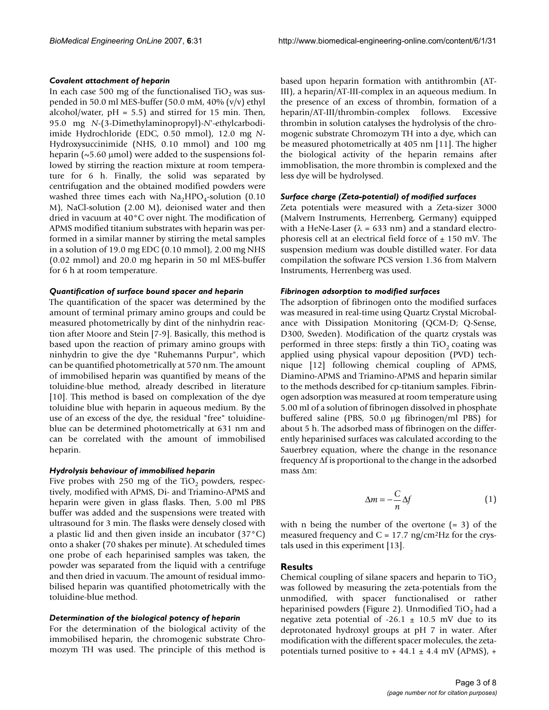#### *Covalent attachment of heparin*

In each case 500 mg of the functionalised  $TiO<sub>2</sub>$  was suspended in 50.0 ml MES-buffer (50.0 mM, 40% (v/v) ethyl alcohol/water,  $pH = 5.5$ ) and stirred for 15 min. Then, 95.0 mg *N*-(3-Dimethylaminopropyl)-*N*'-ethylcarbodiimide Hydrochloride (EDC, 0.50 mmol), 12.0 mg *N*-Hydroxysuccinimide (NHS, 0.10 mmol) and 100 mg heparin ( $\sim$ 5.60 µmol) were added to the suspensions followed by stirring the reaction mixture at room temperature for 6 h. Finally, the solid was separated by centrifugation and the obtained modified powders were washed three times each with  $Na<sub>2</sub>HPO<sub>4</sub>$ -solution (0.10) M), NaCl-solution (2.00 M), deionised water and then dried in vacuum at 40°C over night. The modification of APMS modified titanium substrates with heparin was performed in a similar manner by stirring the metal samples in a solution of 19.0 mg EDC (0.10 mmol), 2.00 mg NHS (0.02 mmol) and 20.0 mg heparin in 50 ml MES-buffer for 6 h at room temperature.

#### *Quantification of surface bound spacer and heparin*

The quantification of the spacer was determined by the amount of terminal primary amino groups and could be measured photometrically by dint of the ninhydrin reaction after Moore and Stein [7-9]. Basically, this method is based upon the reaction of primary amino groups with ninhydrin to give the dye "Ruhemanns Purpur", which can be quantified photometrically at 570 nm. The amount of immobilised heparin was quantified by means of the toluidine-blue method, already described in literature [10]. This method is based on complexation of the dye toluidine blue with heparin in aqueous medium. By the use of an excess of the dye, the residual "free" toluidineblue can be determined photometrically at 631 nm and can be correlated with the amount of immobilised heparin.

#### *Hydrolysis behaviour of immobilised heparin*

Five probes with 250 mg of the  $TiO<sub>2</sub>$  powders, respectively, modified with APMS, Di- and Triamino-APMS and heparin were given in glass flasks. Then, 5.00 ml PBS buffer was added and the suspensions were treated with ultrasound for 3 min. The flasks were densely closed with a plastic lid and then given inside an incubator (37°C) onto a shaker (70 shakes per minute). At scheduled times one probe of each heparinised samples was taken, the powder was separated from the liquid with a centrifuge and then dried in vacuum. The amount of residual immobilised heparin was quantified photometrically with the toluidine-blue method.

#### *Determination of the biological potency of heparin*

For the determination of the biological activity of the immobilised heparin, the chromogenic substrate Chromozym TH was used. The principle of this method is based upon heparin formation with antithrombin (AT-III), a heparin/AT-III-complex in an aqueous medium. In the presence of an excess of thrombin, formation of a heparin/AT-III/thrombin-complex follows. Excessive thrombin in solution catalyses the hydrolysis of the chromogenic substrate Chromozym TH into a dye, which can be measured photometrically at 405 nm [11]. The higher the biological activity of the heparin remains after immoblisation, the more thrombin is complexed and the less dye will be hydrolysed.

### *Surface charge (Zeta-potential) of modified surfaces*

Zeta potentials were measured with a Zeta-sizer 3000 (Malvern Instruments, Herrenberg, Germany) equipped with a HeNe-Laser ( $\lambda$  = 633 nm) and a standard electrophoresis cell at an electrical field force of  $\pm$  150 mV. The suspension medium was double distilled water. For data compilation the software PCS version 1.36 from Malvern Instruments, Herrenberg was used.

#### *Fibrinogen adsorption to modified surfaces*

The adsorption of fibrinogen onto the modified surfaces was measured in real-time using Quartz Crystal Microbalance with Dissipation Monitoring (QCM-D; Q-Sense, D300, Sweden). Modification of the quartz crystals was performed in three steps: firstly a thin  $TiO<sub>2</sub>$  coating was applied using physical vapour deposition (PVD) technique [12] following chemical coupling of APMS, Diamino-APMS and Triamino-APMS and heparin similar to the methods described for cp-titanium samples. Fibrinogen adsorption was measured at room temperature using 5.00 ml of a solution of fibrinogen dissolved in phosphate buffered saline (PBS, 50.0 µg fibrinogen/ml PBS) for about 5 h. The adsorbed mass of fibrinogen on the differently heparinised surfaces was calculated according to the Sauerbrey equation, where the change in the resonance frequency ∆f is proportional to the change in the adsorbed mass ∆m:

$$
\Delta m = -\frac{C}{n} \Delta f \tag{1}
$$

with n being the number of the overtone (= 3) of the measured frequency and  $C = 17.7$  ng/cm<sup>2</sup>Hz for the crystals used in this experiment [13].

### **Results**

Chemical coupling of silane spacers and heparin to  $TiO<sub>2</sub>$ was followed by measuring the zeta-potentials from the unmodified, with spacer functionalised or rather heparinised powders (Figure 2). Unmodified  $TiO<sub>2</sub>$  had a negative zeta potential of  $-26.1 \pm 10.5$  mV due to its deprotonated hydroxyl groups at pH 7 in water. After modification with the different spacer molecules, the zetapotentials turned positive to  $+44.1 \pm 4.4$  mV (APMS),  $+$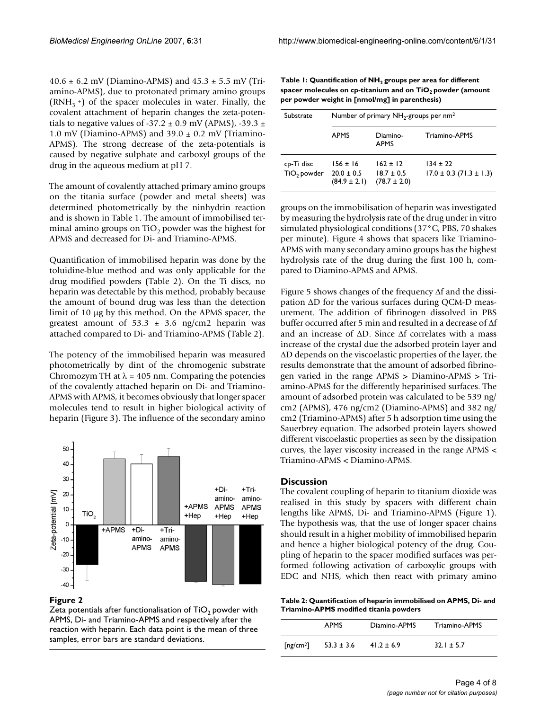40.6  $\pm$  6.2 mV (Diamino-APMS) and 45.3  $\pm$  5.5 mV (Triamino-APMS), due to protonated primary amino groups  $(RNH<sub>3</sub>*)$  of the spacer molecules in water. Finally, the covalent attachment of heparin changes the zeta-potentials to negative values of -37.2  $\pm$  0.9 mV (APMS), -39.3  $\pm$ 1.0 mV (Diamino-APMS) and  $39.0 \pm 0.2$  mV (Triamino-APMS). The strong decrease of the zeta-potentials is caused by negative sulphate and carboxyl groups of the drug in the aqueous medium at pH 7.

The amount of covalently attached primary amino groups on the titania surface (powder and metal sheets) was determined photometrically by the ninhydrin reaction and is shown in Table 1. The amount of immobilised terminal amino groups on  $TiO<sub>2</sub>$  powder was the highest for APMS and decreased for Di- and Triamino-APMS.

Quantification of immobilised heparin was done by the toluidine-blue method and was only applicable for the drug modified powders (Table 2). On the Ti discs, no heparin was detectable by this method, probably because the amount of bound drug was less than the detection limit of 10 µg by this method. On the APMS spacer, the greatest amount of  $53.3 \pm 3.6$  ng/cm2 heparin was attached compared to Di- and Triamino-APMS (Table 2).

The potency of the immobilised heparin was measured photometrically by dint of the chromogenic substrate Chromozym TH at  $\lambda$  = 405 nm. Comparing the potencies of the covalently attached heparin on Di- and Triamino-APMS with APMS, it becomes obviously that longer spacer molecules tend to result in higher biological activity of heparin (Figure 3). The influence of the secondary amino



 $z_{\rm F1}$  APMS, Di- and Triamino-APMS reaction with heparin  $\sim$  and respectively after the power with heparin  $\sim$ Zeta potentials after functionalisation of TiO $_2$  powder with APMS, Di- and Triamino-APMS and respectively after the reaction with heparin. Each data point is the mean of three samples, error bars are standard deviations.

Table 1: Quantification of NH<sub>2</sub> groups per area for different spacer molecules on cp-titanium and on TiO<sub>2</sub> powder (amount **per powder weight in [nmol/mg] in parenthesis)**

| Substrate                            | Number of primary $NH_2$ -groups per nm <sup>2</sup> |                                                    |                                               |  |
|--------------------------------------|------------------------------------------------------|----------------------------------------------------|-----------------------------------------------|--|
|                                      | <b>APMS</b>                                          | Diamino-<br><b>APMS</b>                            | Triamino-APMS                                 |  |
| cp-Ti disc<br>TiO <sub>2</sub> power | $156 \pm 16$<br>$20.0 \pm 0.5$<br>$(84.9 \pm 2.1)$   | $162 \pm 12$<br>$18.7 \pm 0.5$<br>$(78.7 \pm 2.0)$ | $134 + 22$<br>$17.0 \pm 0.3$ (71.3 $\pm$ 1.3) |  |

groups on the immobilisation of heparin was investigated by measuring the hydrolysis rate of the drug under in vitro simulated physiological conditions (37°C, PBS, 70 shakes per minute). Figure 4 shows that spacers like Triamino-APMS with many secondary amino groups has the highest hydrolysis rate of the drug during the first 100 h, compared to Diamino-APMS and APMS.

Figure 5 shows changes of the frequency ∆f and the dissipation ∆D for the various surfaces during QCM-D measurement. The addition of fibrinogen dissolved in PBS buffer occurred after 5 min and resulted in a decrease of ∆f and an increase of ∆D. Since ∆f correlates with a mass increase of the crystal due the adsorbed protein layer and ∆D depends on the viscoelastic properties of the layer, the results demonstrate that the amount of adsorbed fibrinogen varied in the range APMS > Diamino-APMS > Triamino-APMS for the differently heparinised surfaces. The amount of adsorbed protein was calculated to be 539 ng/ cm2 (APMS), 476 ng/cm2 (Diamino-APMS) and 382 ng/ cm2 (Triamino-APMS) after 5 h adsorption time using the Sauerbrey equation. The adsorbed protein layers showed different viscoelastic properties as seen by the dissipation curves, the layer viscosity increased in the range APMS < Triamino-APMS < Diamino-APMS.

# **Discussion**

The covalent coupling of heparin to titanium dioxide was realised in this study by spacers with different chain lengths like APMS, Di- and Triamino-APMS (Figure 1). The hypothesis was, that the use of longer spacer chains should result in a higher mobility of immobilised heparin and hence a higher biological potency of the drug. Coupling of heparin to the spacer modified surfaces was performed following activation of carboxylic groups with EDC and NHS, which then react with primary amino

**Table 2: Quantification of heparin immobilised on APMS, Di- and Triamino-APMS modified titania powders**

|                                      | <b>APMS</b>    | Diamino-APMS   | Triamino-APMS  |
|--------------------------------------|----------------|----------------|----------------|
| $\lceil$ ng/cm <sup>2</sup> $\rceil$ | $53.3 \pm 3.6$ | $41.2 \pm 6.9$ | $32.1 \pm 5.7$ |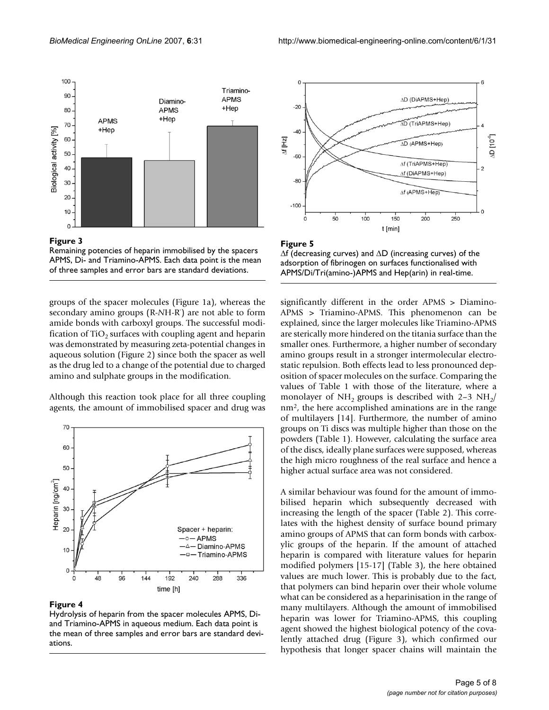

Figure 3

Remaining potencies of heparin immobilised by the spacers APMS, Di- and Triamino-APMS. Each data point is the mean of three samples and error bars are standard deviations.

groups of the spacer molecules (Figure 1a), whereas the secondary amino groups (R-*N*H-R' ) are not able to form amide bonds with carboxyl groups. The successful modification of TiO<sub>2</sub> surfaces with coupling agent and heparin was demonstrated by measuring zeta-potential changes in aqueous solution (Figure 2) since both the spacer as well as the drug led to a change of the potential due to charged amino and sulphate groups in the modification.

Although this reaction took place for all three coupling agents, the amount of immobilised spacer and drug was



### Figure 4

Hydrolysis of heparin from the spacer molecules APMS, Diand Triamino-APMS in aqueous medium. Each data point is the mean of three samples and error bars are standard deviations.





significantly different in the order APMS > Diamino-APMS > Triamino-APMS. This phenomenon can be explained, since the larger molecules like Triamino-APMS are sterically more hindered on the titania surface than the smaller ones. Furthermore, a higher number of secondary amino groups result in a stronger intermolecular electrostatic repulsion. Both effects lead to less pronounced deposition of spacer molecules on the surface. Comparing the values of Table 1 with those of the literature, where a monolayer of NH<sub>2</sub> groups is described with 2–3 NH<sub>2</sub>/ nm<sup>2</sup>, the here accomplished aminations are in the range of multilayers [14]. Furthermore, the number of amino groups on Ti discs was multiple higher than those on the powders (Table 1). However, calculating the surface area of the discs, ideally plane surfaces were supposed, whereas the high micro roughness of the real surface and hence a higher actual surface area was not considered.

A similar behaviour was found for the amount of immobilised heparin which subsequently decreased with increasing the length of the spacer (Table 2). This correlates with the highest density of surface bound primary amino groups of APMS that can form bonds with carboxylic groups of the heparin. If the amount of attached heparin is compared with literature values for heparin modified polymers [15-17] (Table 3), the here obtained values are much lower. This is probably due to the fact, that polymers can bind heparin over their whole volume what can be considered as a heparinisation in the range of many multilayers. Although the amount of immobilised heparin was lower for Triamino-APMS, this coupling agent showed the highest biological potency of the covalently attached drug (Figure 3), which confirmed our hypothesis that longer spacer chains will maintain the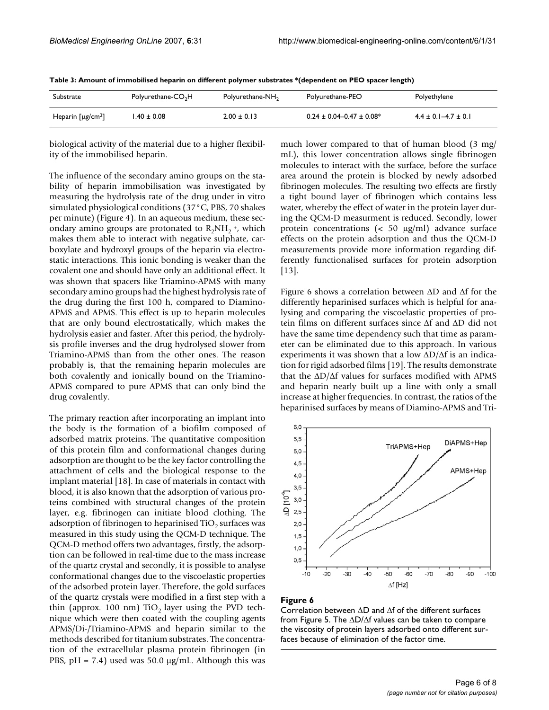| Substrate                                | Polyurethane-CO <sub>2</sub> H | Polyurethane-NH <sub>2</sub> | Polyurethane-PEO                             | Polyethylene                |
|------------------------------------------|--------------------------------|------------------------------|----------------------------------------------|-----------------------------|
| Heparin $\lceil \mu$ g/cm <sup>2</sup> ] | $1.40 \pm 0.08$                | $2.00 \pm 0.13$              | $0.24 \pm 0.04 - 0.47 \pm 0.08$ <sup>*</sup> | $4.4 \pm 0.1 - 4.7 \pm 0.1$ |

**Table 3: Amount of immobilised heparin on different polymer substrates \*(dependent on PEO spacer length)**

biological activity of the material due to a higher flexibility of the immobilised heparin.

The influence of the secondary amino groups on the stability of heparin immobilisation was investigated by measuring the hydrolysis rate of the drug under in vitro simulated physiological conditions (37°C, PBS, 70 shakes per minute) (Figure 4). In an aqueous medium, these secondary amino groups are protonated to  $R_2NH_2$ <sup>+</sup>, which makes them able to interact with negative sulphate, carboxylate and hydroxyl groups of the heparin via electrostatic interactions. This ionic bonding is weaker than the covalent one and should have only an additional effect. It was shown that spacers like Triamino-APMS with many secondary amino groups had the highest hydrolysis rate of the drug during the first 100 h, compared to Diamino-APMS and APMS. This effect is up to heparin molecules that are only bound electrostatically, which makes the hydrolysis easier and faster. After this period, the hydrolysis profile inverses and the drug hydrolysed slower from Triamino-APMS than from the other ones. The reason probably is, that the remaining heparin molecules are both covalently and ionically bound on the Triamino-APMS compared to pure APMS that can only bind the drug covalently.

The primary reaction after incorporating an implant into the body is the formation of a biofilm composed of adsorbed matrix proteins. The quantitative composition of this protein film and conformational changes during adsorption are thought to be the key factor controlling the attachment of cells and the biological response to the implant material [18]. In case of materials in contact with blood, it is also known that the adsorption of various proteins combined with structural changes of the protein layer, e.g. fibrinogen can initiate blood clothing. The adsorption of fibrinogen to heparinised  $TiO<sub>2</sub>$  surfaces was measured in this study using the QCM-D technique. The QCM-D method offers two advantages, firstly, the adsorption can be followed in real-time due to the mass increase of the quartz crystal and secondly, it is possible to analyse conformational changes due to the viscoelastic properties of the adsorbed protein layer. Therefore, the gold surfaces of the quartz crystals were modified in a first step with a thin (approx. 100 nm)  $TiO<sub>2</sub>$  layer using the PVD technique which were then coated with the coupling agents APMS/Di-/Triamino-APMS and heparin similar to the methods described for titanium substrates. The concentration of the extracellular plasma protein fibrinogen (in PBS,  $pH = 7.4$ ) used was 50.0  $\mu$ g/mL. Although this was

much lower compared to that of human blood (3 mg/ mL), this lower concentration allows single fibrinogen molecules to interact with the surface, before the surface area around the protein is blocked by newly adsorbed fibrinogen molecules. The resulting two effects are firstly a tight bound layer of fibrinogen which contains less water, whereby the effect of water in the protein layer during the QCM-D measurment is reduced. Secondly, lower protein concentrations (< 50 µg/ml) advance surface effects on the protein adsorption and thus the QCM-D measurements provide more information regarding differently functionalised surfaces for protein adsorption [13].

Figure 6 shows a correlation between ∆D and ∆f for the differently heparinised surfaces which is helpful for analysing and comparing the viscoelastic properties of protein films on different surfaces since ∆f and ∆D did not have the same time dependency such that time as parameter can be eliminated due to this approach. In various experiments it was shown that a low ∆D/∆f is an indication for rigid adsorbed films [19]. The results demonstrate that the ∆D/∆f values for surfaces modified with APMS and heparin nearly built up a line with only a small increase at higher frequencies. In contrast, the ratios of the heparinised surfaces by means of Diamino-APMS and Tri-



# Figure 6

Correlation between ∆D and ∆f of the different surfaces from Figure 5. The ∆D/∆f values can be taken to compare the viscosity of protein layers adsorbed onto different surfaces because of elimination of the factor time.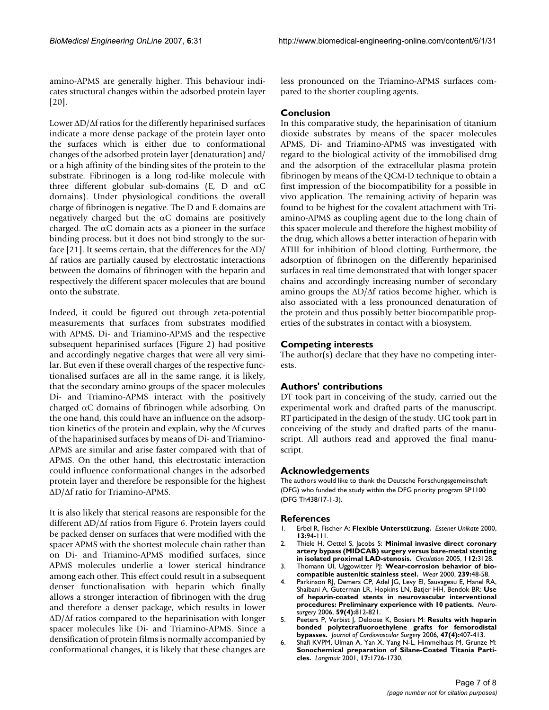amino-APMS are generally higher. This behaviour indicates structural changes within the adsorbed protein layer [20].

Lower ∆D/∆f ratios for the differently heparinised surfaces indicate a more dense package of the protein layer onto the surfaces which is either due to conformational changes of the adsorbed protein layer (denaturation) and/ or a high affinity of the binding sites of the protein to the substrate. Fibrinogen is a long rod-like molecule with three different globular sub-domains (E, D and  $αC$ domains). Under physiological conditions the overall charge of fibrinogen is negative. The D and E domains are negatively charged but the  $\alpha$ C domains are positively charged. The  $\alpha$ C domain acts as a pioneer in the surface binding process, but it does not bind strongly to the surface [21]. It seems certain, that the differences for the ∆D/ ∆f ratios are partially caused by electrostatic interactions between the domains of fibrinogen with the heparin and respectively the different spacer molecules that are bound onto the substrate.

Indeed, it could be figured out through zeta-potential measurements that surfaces from substrates modified with APMS, Di- and Triamino-APMS and the respective subsequent heparinised surfaces (Figure 2) had positive and accordingly negative charges that were all very similar. But even if these overall charges of the respective functionalised surfaces are all in the same range, it is likely, that the secondary amino groups of the spacer molecules Di- and Triamino-APMS interact with the positively charged αC domains of fibrinogen while adsorbing. On the one hand, this could have an influence on the adsorption kinetics of the protein and explain, why the ∆f curves of the haparinised surfaces by means of Di- and Triamino-APMS are similar and arise faster compared with that of APMS. On the other hand, this electrostatic interaction could influence conformational changes in the adsorbed protein layer and therefore be responsible for the highest ∆D/∆f ratio for Triamino-APMS.

It is also likely that sterical reasons are responsible for the different ∆D/∆f ratios from Figure 6. Protein layers could be packed denser on surfaces that were modified with the spacer APMS with the shortest molecule chain rather than on Di- and Triamino-APMS modified surfaces, since APMS molecules underlie a lower sterical hindrance among each other. This effect could result in a subsequent denser functionalisation with heparin which finally allows a stronger interaction of fibrinogen with the drug and therefore a denser package, which results in lower ∆D/∆f ratios compared to the heparinisation with longer spacer molecules like Di- and Triamino-APMS. Since a densification of protein films is normally accompanied by conformational changes, it is likely that these changes are less pronounced on the Triamino-APMS surfaces compared to the shorter coupling agents.

# **Conclusion**

In this comparative study, the heparinisation of titanium dioxide substrates by means of the spacer molecules APMS, Di- and Triamino-APMS was investigated with regard to the biological activity of the immobilised drug and the adsorption of the extracellular plasma protein fibrinogen by means of the QCM-D technique to obtain a first impression of the biocompatibility for a possible in vivo application. The remaining activity of heparin was found to be highest for the covalent attachment with Triamino-APMS as coupling agent due to the long chain of this spacer molecule and therefore the highest mobility of the drug, which allows a better interaction of heparin with ATIII for inhibition of blood clotting. Furthermore, the adsorption of fibrinogen on the differently heparinised surfaces in real time demonstrated that with longer spacer chains and accordingly increasing number of secondary amino groups the ∆D/∆f ratios become higher, which is also associated with a less pronounced denaturation of the protein and thus possibly better biocompatible properties of the substrates in contact with a biosystem.

# **Competing interests**

The author(s) declare that they have no competing interests.

# **Authors' contributions**

DT took part in conceiving of the study, carried out the experimental work and drafted parts of the manuscript. RT participated in the design of the study. UG took part in conceiving of the study and drafted parts of the manuscript. All authors read and approved the final manuscript.

# **Acknowledgements**

The authors would like to thank the Deutsche Forschungsgemeinschaft (DFG) who funded the study within the DFG priority program SP1100 (DFG Th438/17-1-3).

# **References**

- 1. Erbel R, Fischer A: **Flexible Unterstützung.** *Essener Unikate* 2000, **13:**94-111.
- 2. Thiele H, Oettel S, Jacobs S: **Minimal invasive direct coronary artery bypass (MIDCAB) surgery versus bare-metal stenting in isolated proximal LAD-stenosis.** *Circulation* 2005, **112:**3128.
- 3. Thomann UI, Uggowitzer PJ: Wear-corrosion behavior of bio**compatible austenitic stainless steel.** *Wear* 2000, **239:**48-58.
- 4. Parkinson RJ, Demers CP, Adel JG, Levy EI, Sauvageau E, Hanel RA, Shaibani A, Guterman LR, Hopkins LN, Batjer HH, Bendok BR: **[Use](http://www.ncbi.nlm.nih.gov/entrez/query.fcgi?cmd=Retrieve&db=PubMed&dopt=Abstract&list_uids=17038945) [of heparin-coated stents in neurovascular interventional](http://www.ncbi.nlm.nih.gov/entrez/query.fcgi?cmd=Retrieve&db=PubMed&dopt=Abstract&list_uids=17038945) [procedures: Preliminary experience with 10 patients.](http://www.ncbi.nlm.nih.gov/entrez/query.fcgi?cmd=Retrieve&db=PubMed&dopt=Abstract&list_uids=17038945)** *Neurosurgery* 2006, **59(4):**812-821.
- 5. Peeters P, Verbist J, Deloose K, Bosiers M: **[Results with heparin](http://www.ncbi.nlm.nih.gov/entrez/query.fcgi?cmd=Retrieve&db=PubMed&dopt=Abstract&list_uids=16953160) [bonded polytetrafluoroethylene grafts for femorodistal](http://www.ncbi.nlm.nih.gov/entrez/query.fcgi?cmd=Retrieve&db=PubMed&dopt=Abstract&list_uids=16953160) [bypasses.](http://www.ncbi.nlm.nih.gov/entrez/query.fcgi?cmd=Retrieve&db=PubMed&dopt=Abstract&list_uids=16953160)** *Journal of Cardiovascular Surgery* 2006, **47(4):**407-413.
- 6. Shafi KVPM, Ulman A, Yan X, Yang N-L, Himmelhaus M, Grunze M: **Sonochemical preparation of Silane-Coated Titania Particles.** *Langmuir* 2001, **17:**1726-1730.